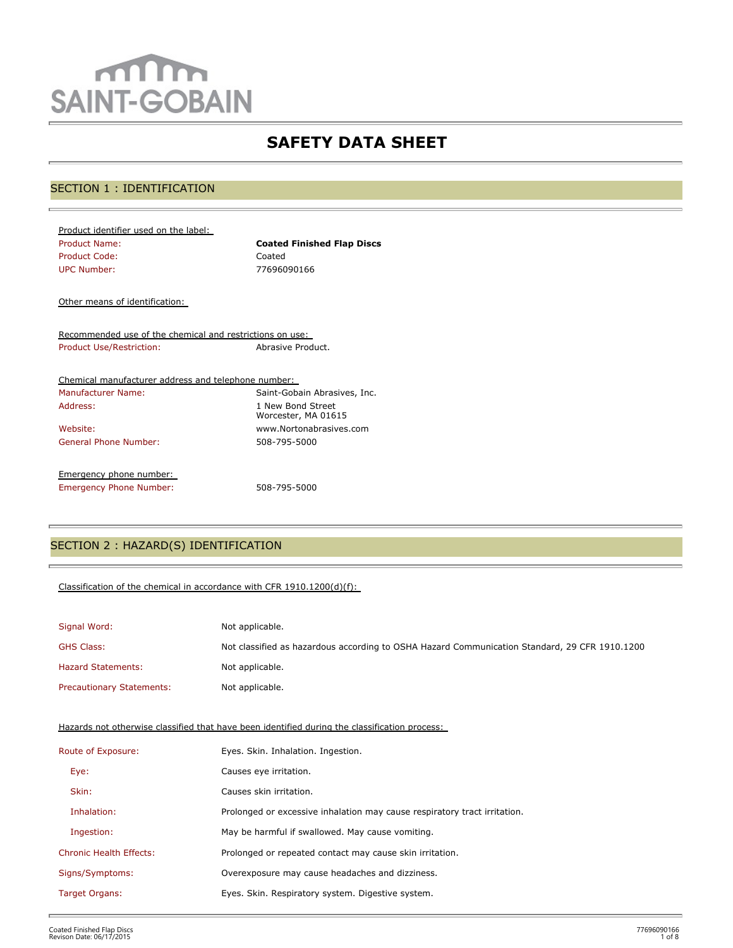# mm **SAINT-GOBAIN**

## **SAFETY DATA SHEET**

## SECTION 1 : IDENTIFICATION

| <b>Coated Finished Flap Discs</b> |
|-----------------------------------|
|                                   |
|                                   |
|                                   |

Other means of identification:

Recommended use of the chemical and restrictions on use: Product Use/Restriction: Abrasive Product.

| Chemical manufacturer address and telephone number: |                                          |
|-----------------------------------------------------|------------------------------------------|
| Manufacturer Name:                                  | Saint-Gobain Abrasives, Inc.             |
| Address:                                            | 1 New Bond Street<br>Worcester, MA 01615 |
| Website:                                            | www.Nortonabrasives.com                  |
| General Phone Number:                               | 508-795-5000                             |
| Emergency phone number:                             |                                          |
| <b>Emergency Phone Number:</b>                      | 508-795-5000                             |

## SECTION 2 : HAZARD(S) IDENTIFICATION

#### Classification of the chemical in accordance with CFR 1910.1200(d)(f):

| Signal Word:                     | Not applicable.                                                                               |
|----------------------------------|-----------------------------------------------------------------------------------------------|
| <b>GHS Class:</b>                | Not classified as hazardous according to OSHA Hazard Communication Standard, 29 CFR 1910.1200 |
| <b>Hazard Statements:</b>        | Not applicable.                                                                               |
| <b>Precautionary Statements:</b> | Not applicable.                                                                               |

Hazards not otherwise classified that have been identified during the classification process:

| Route of Exposure:             | Eyes. Skin. Inhalation. Ingestion.                                        |
|--------------------------------|---------------------------------------------------------------------------|
| Eye:                           | Causes eye irritation.                                                    |
| Skin:                          | Causes skin irritation.                                                   |
| Inhalation:                    | Prolonged or excessive inhalation may cause respiratory tract irritation. |
| Ingestion:                     | May be harmful if swallowed. May cause vomiting.                          |
| <b>Chronic Health Effects:</b> | Prolonged or repeated contact may cause skin irritation.                  |
| Signs/Symptoms:                | Overexposure may cause headaches and dizziness.                           |
| Target Organs:                 | Eyes. Skin. Respiratory system. Digestive system.                         |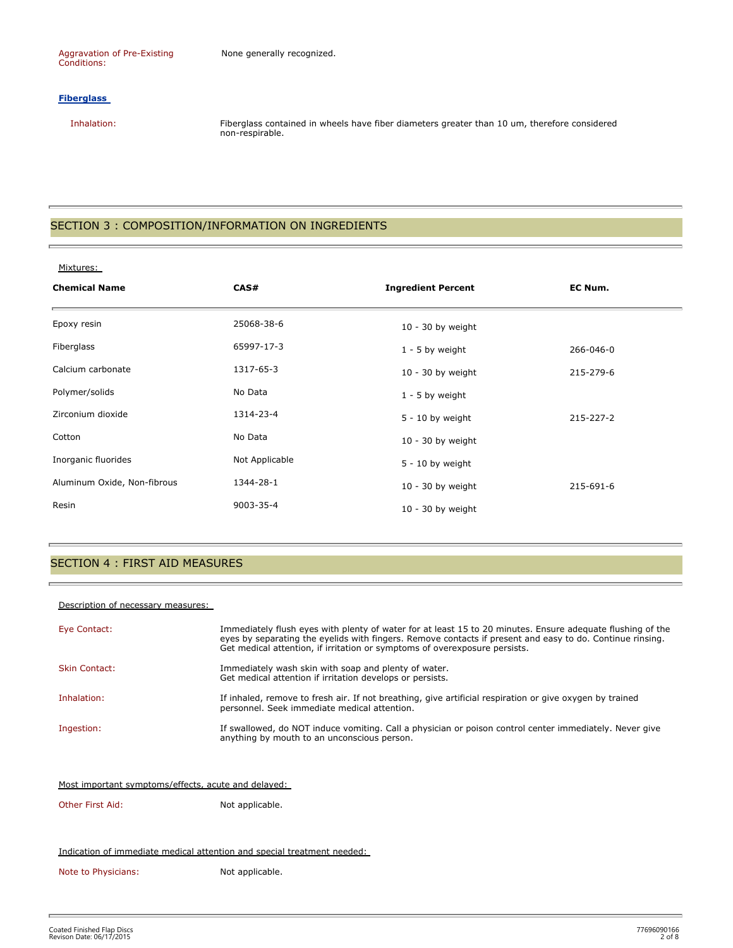### **Fiberglass**

 Inhalation: Fiberglass contained in wheels have fiber diameters greater than 10 um, therefore considered non-respirable.

#### SECTION 3 : COMPOSITION/INFORMATION ON INGREDIENTS

Mixtures:

| <b>Chemical Name</b>        | CAS#           | <b>Ingredient Percent</b> | EC Num.   |
|-----------------------------|----------------|---------------------------|-----------|
| Epoxy resin                 | 25068-38-6     | $10 - 30$ by weight       |           |
| Fiberglass                  | 65997-17-3     | $1 - 5$ by weight         | 266-046-0 |
| Calcium carbonate           | 1317-65-3      | $10 - 30$ by weight       | 215-279-6 |
| Polymer/solids              | No Data        | $1 - 5$ by weight         |           |
| Zirconium dioxide           | 1314-23-4      | $5 - 10$ by weight        | 215-227-2 |
| Cotton                      | No Data        | $10 - 30$ by weight       |           |
| Inorganic fluorides         | Not Applicable | $5 - 10$ by weight        |           |
| Aluminum Oxide, Non-fibrous | 1344-28-1      | $10 - 30$ by weight       | 215-691-6 |
| Resin                       | 9003-35-4      | $10 - 30$ by weight       |           |

## SECTION 4 : FIRST AID MEASURES

#### Description of necessary measures:

| Eye Contact:         | Immediately flush eyes with plenty of water for at least 15 to 20 minutes. Ensure adequate flushing of the<br>eyes by separating the eyelids with fingers. Remove contacts if present and easy to do. Continue rinsing.<br>Get medical attention, if irritation or symptoms of overexposure persists. |
|----------------------|-------------------------------------------------------------------------------------------------------------------------------------------------------------------------------------------------------------------------------------------------------------------------------------------------------|
| <b>Skin Contact:</b> | Immediately wash skin with soap and plenty of water.<br>Get medical attention if irritation develops or persists.                                                                                                                                                                                     |
| Inhalation:          | If inhaled, remove to fresh air. If not breathing, give artificial respiration or give oxygen by trained<br>personnel. Seek immediate medical attention.                                                                                                                                              |
| Ingestion:           | If swallowed, do NOT induce vomiting. Call a physician or poison control center immediately. Never give<br>anything by mouth to an unconscious person.                                                                                                                                                |

Most important symptoms/effects, acute and delayed:

Other First Aid: Not applicable.

#### Indication of immediate medical attention and special treatment needed:

Note to Physicians: Not applicable.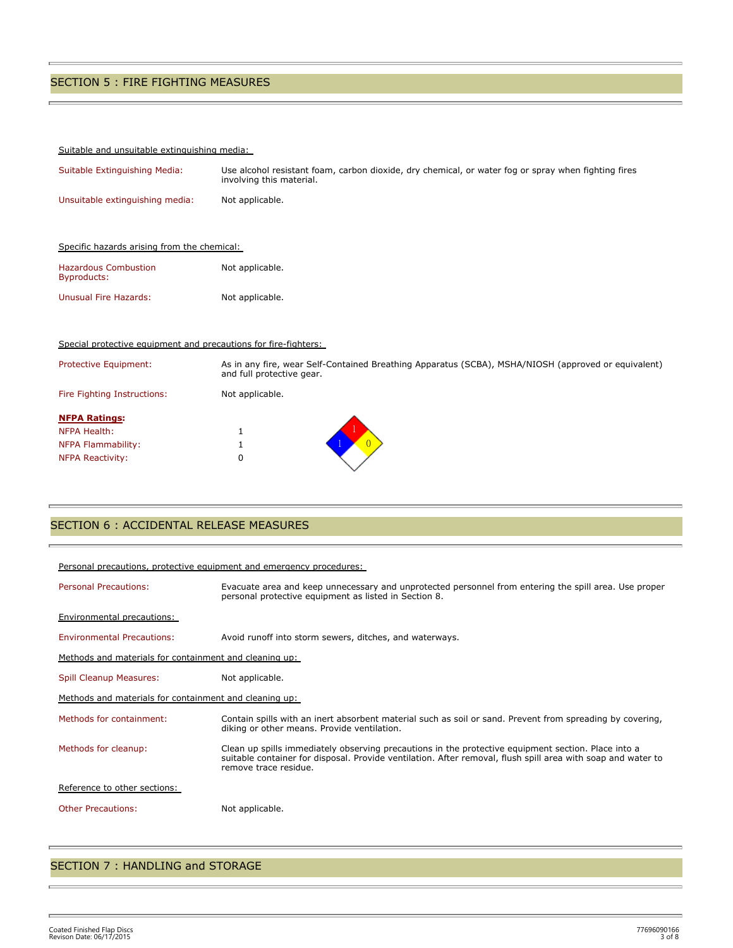## SECTION 5 : FIRE FIGHTING MEASURES

#### Suitable and unsuitable extinguishing media:

| Suitable Extinguishing Media:                                   | Use alcohol resistant foam, carbon dioxide, dry chemical, or water fog or spray when fighting fires<br>involving this material. |
|-----------------------------------------------------------------|---------------------------------------------------------------------------------------------------------------------------------|
| Unsuitable extinguishing media:                                 | Not applicable.                                                                                                                 |
|                                                                 |                                                                                                                                 |
|                                                                 |                                                                                                                                 |
| Specific hazards arising from the chemical:                     |                                                                                                                                 |
| <b>Hazardous Combustion</b><br>Byproducts:                      | Not applicable.                                                                                                                 |
| Unusual Fire Hazards:                                           | Not applicable.                                                                                                                 |
|                                                                 |                                                                                                                                 |
| Special protective equipment and precautions for fire-fighters: |                                                                                                                                 |
| Protective Faujoment:                                           | As in any fire, wear Self-Contained Breathing Apparatus (SCBA), MSHA/NIOSH (approved or equivale                                |

e Equipment: As in any fire, wear Self-Contained Breathing Apparatus (SCBA), MSHA/NIOSH (approved or equivalent) and full protective gear.

Fire Fighting Instructions: Not applicable.

| <b>NFPA Ratings:</b> |  |
|----------------------|--|
| NFPA Health:         |  |
| NFPA Flammability:   |  |
| NFPA Reactivity:     |  |
|                      |  |

## SECTION 6 : ACCIDENTAL RELEASE MEASURES

| Personal precautions, protective equipment and emergency procedures:                                                                                                                                                                         |  |  |  |
|----------------------------------------------------------------------------------------------------------------------------------------------------------------------------------------------------------------------------------------------|--|--|--|
| Evacuate area and keep unnecessary and unprotected personnel from entering the spill area. Use proper<br>personal protective equipment as listed in Section 8.                                                                               |  |  |  |
|                                                                                                                                                                                                                                              |  |  |  |
| Avoid runoff into storm sewers, ditches, and waterways.                                                                                                                                                                                      |  |  |  |
| Methods and materials for containment and cleaning up:                                                                                                                                                                                       |  |  |  |
| Not applicable.                                                                                                                                                                                                                              |  |  |  |
| Methods and materials for containment and cleaning up:                                                                                                                                                                                       |  |  |  |
| Contain spills with an inert absorbent material such as soil or sand. Prevent from spreading by covering,<br>diking or other means. Provide ventilation.                                                                                     |  |  |  |
| Clean up spills immediately observing precautions in the protective equipment section. Place into a<br>suitable container for disposal. Provide ventilation. After removal, flush spill area with soap and water to<br>remove trace residue. |  |  |  |
|                                                                                                                                                                                                                                              |  |  |  |
| Not applicable.                                                                                                                                                                                                                              |  |  |  |
|                                                                                                                                                                                                                                              |  |  |  |

## SECTION 7 : HANDLING and STORAGE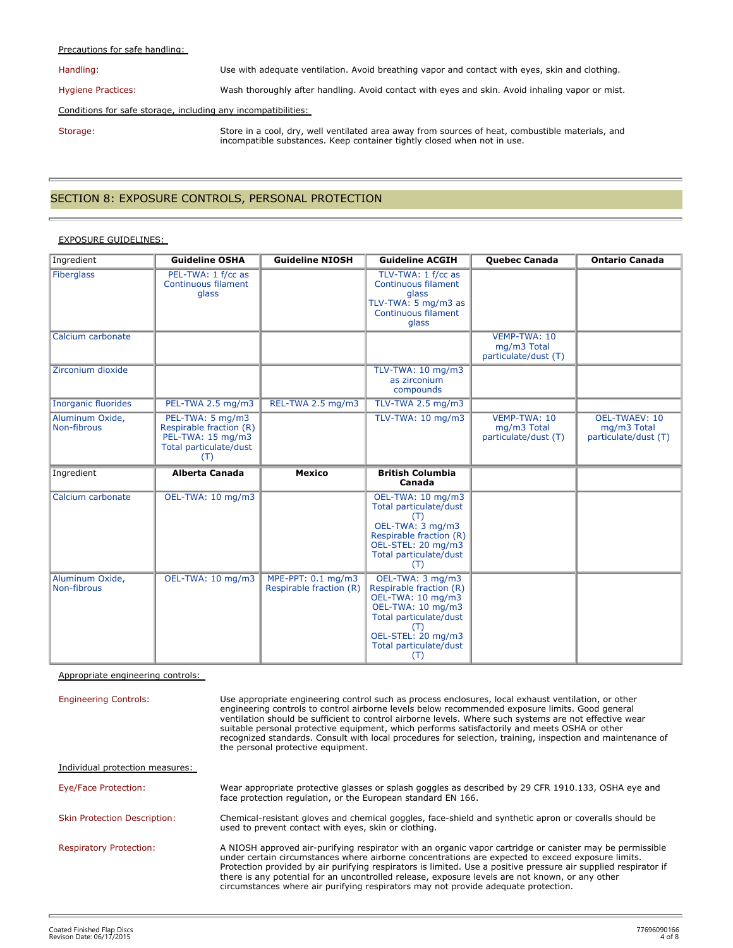#### Precautions for safe handling:

Handling: Use with adequate ventilation. Avoid breathing vapor and contact with eyes, skin and clothing.

Hygiene Practices: Wash thoroughly after handling. Avoid contact with eyes and skin. Avoid inhaling vapor or mist.

#### Conditions for safe storage, including any incompatibilities:

Storage: Store in a cool, dry, well ventilated area away from sources of heat, combustible materials, and incompatible substances. Keep container tightly closed when not in use.

#### SECTION 8: EXPOSURE CONTROLS, PERSONAL PROTECTION

#### EXPOSURE GUIDELINES:

| Ingredient                     | <b>Guideline OSHA</b>                                                                             | <b>Guideline NIOSH</b>                        | <b>Guideline ACGIH</b>                                                                                                                                                        | <b>Quebec Canada</b>                                | <b>Ontario Canada</b>                                |
|--------------------------------|---------------------------------------------------------------------------------------------------|-----------------------------------------------|-------------------------------------------------------------------------------------------------------------------------------------------------------------------------------|-----------------------------------------------------|------------------------------------------------------|
| <b>Fiberglass</b>              | PEL-TWA: 1 f/cc as<br>Continuous filament<br>glass                                                |                                               | TLV-TWA: 1 f/cc as<br>Continuous filament<br>glass<br>TLV-TWA: 5 mg/m3 as<br>Continuous filament<br>glass                                                                     |                                                     |                                                      |
| Calcium carbonate              |                                                                                                   |                                               |                                                                                                                                                                               | VEMP-TWA: 10<br>mg/m3 Total<br>particulate/dust (T) |                                                      |
| Zirconium dioxide              |                                                                                                   |                                               | TLV-TWA: 10 mg/m3<br>as zirconium<br>compounds                                                                                                                                |                                                     |                                                      |
| <b>Inorganic fluorides</b>     | PEL-TWA 2.5 mg/m3                                                                                 | REL-TWA 2.5 mg/m3                             | TLV-TWA 2.5 mg/m3                                                                                                                                                             |                                                     |                                                      |
| Aluminum Oxide,<br>Non-fibrous | PEL-TWA: 5 mg/m3<br>Respirable fraction (R)<br>PEL-TWA: 15 mg/m3<br>Total particulate/dust<br>(T) |                                               | TLV-TWA: 10 mg/m3                                                                                                                                                             | VEMP-TWA: 10<br>mg/m3 Total<br>particulate/dust (T) | OEL-TWAEV: 10<br>mg/m3 Total<br>particulate/dust (T) |
| Ingredient                     | <b>Alberta Canada</b>                                                                             | <b>Mexico</b>                                 | <b>British Columbia</b><br>Canada                                                                                                                                             |                                                     |                                                      |
| Calcium carbonate              | OEL-TWA: 10 mg/m3                                                                                 |                                               | OEL-TWA: 10 mg/m3<br>Total particulate/dust<br>(T)<br>OEL-TWA: 3 mg/m3<br>Respirable fraction (R)<br>OEL-STEL: 20 mg/m3<br>Total particulate/dust<br>(T)                      |                                                     |                                                      |
| Aluminum Oxide,<br>Non-fibrous | OEL-TWA: 10 mg/m3                                                                                 | MPE-PPT: 0.1 mg/m3<br>Respirable fraction (R) | OEL-TWA: 3 mg/m3<br>Respirable fraction (R)<br>OEL-TWA: 10 mg/m3<br>OEL-TWA: 10 mg/m3<br>Total particulate/dust<br>(T)<br>OEL-STEL: 20 mg/m3<br>Total particulate/dust<br>(T) |                                                     |                                                      |

#### Appropriate engineering controls:

Engineering Controls: Use appropriate engineering control such as process enclosures, local exhaust ventilation, or other engineering controls to control airborne levels below recommended exposure limits. Good general ventilation should be sufficient to control airborne levels. Where such systems are not effective wear suitable personal protective equipment, which performs satisfactorily and meets OSHA or other recognized standards. Consult with local procedures for selection, training, inspection and maintenance of the personal protective equipment.

|                                     | the personal protective equipment.                                                                                                                                                                                                                                                                                                                                                                                                                                                                                        |
|-------------------------------------|---------------------------------------------------------------------------------------------------------------------------------------------------------------------------------------------------------------------------------------------------------------------------------------------------------------------------------------------------------------------------------------------------------------------------------------------------------------------------------------------------------------------------|
| Individual protection measures:     |                                                                                                                                                                                                                                                                                                                                                                                                                                                                                                                           |
| Eye/Face Protection:                | Wear appropriate protective glasses or splash goggles as described by 29 CFR 1910.133, OSHA eye and<br>face protection regulation, or the European standard EN 166.                                                                                                                                                                                                                                                                                                                                                       |
| <b>Skin Protection Description:</b> | Chemical-resistant gloves and chemical goggles, face-shield and synthetic apron or coveralls should be<br>used to prevent contact with eyes, skin or clothing.                                                                                                                                                                                                                                                                                                                                                            |
| <b>Respiratory Protection:</b>      | A NIOSH approved air-purifying respirator with an organic vapor cartridge or canister may be permissible<br>under certain circumstances where airborne concentrations are expected to exceed exposure limits.<br>Protection provided by air purifying respirators is limited. Use a positive pressure air supplied respirator if<br>there is any potential for an uncontrolled release, exposure levels are not known, or any other<br>circumstances where air purifying respirators may not provide adequate protection. |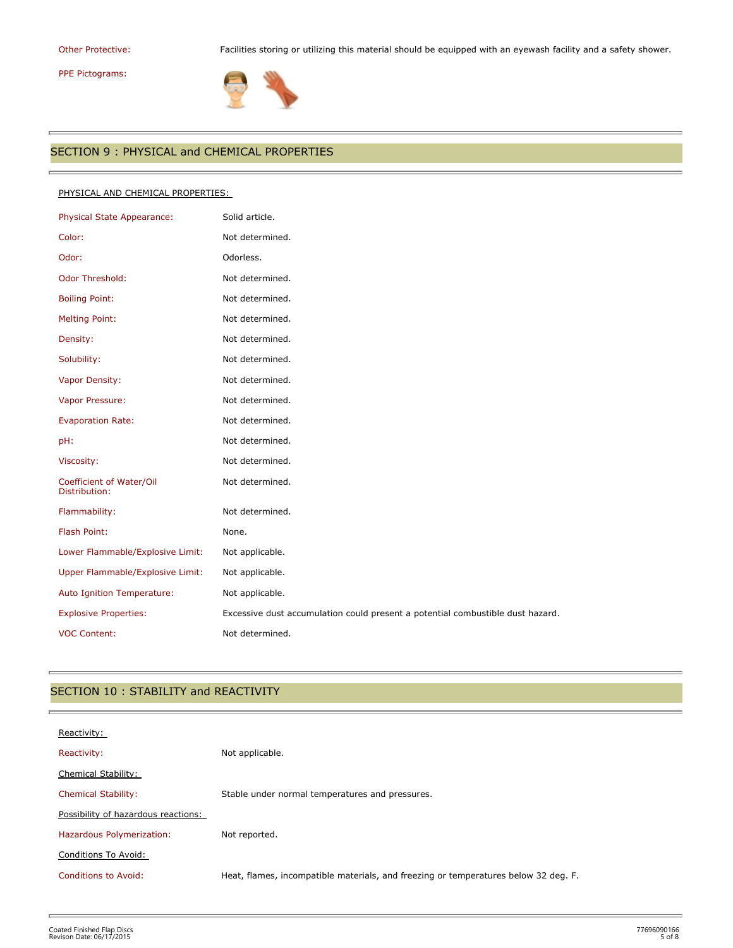# PPE Pictograms:

r.

Other Protective: Facilities storing or utilizing this material should be equipped with an eyewash facility and a safety shower.



## SECTION 9 : PHYSICAL and CHEMICAL PROPERTIES

#### PHYSICAL AND CHEMICAL PROPERTIES:

| Physical State Appearance:                | Solid article.                                                                 |
|-------------------------------------------|--------------------------------------------------------------------------------|
| Color:                                    | Not determined.                                                                |
| Odor:                                     | Odorless.                                                                      |
| <b>Odor Threshold:</b>                    | Not determined.                                                                |
| <b>Boiling Point:</b>                     | Not determined.                                                                |
| <b>Melting Point:</b>                     | Not determined.                                                                |
| Density:                                  | Not determined.                                                                |
| Solubility:                               | Not determined.                                                                |
| Vapor Density:                            | Not determined.                                                                |
| Vapor Pressure:                           | Not determined.                                                                |
| <b>Evaporation Rate:</b>                  | Not determined.                                                                |
| pH:                                       | Not determined.                                                                |
| Viscosity:                                | Not determined.                                                                |
| Coefficient of Water/Oil<br>Distribution: | Not determined.                                                                |
| Flammability:                             | Not determined.                                                                |
| Flash Point:                              | None.                                                                          |
| Lower Flammable/Explosive Limit:          | Not applicable.                                                                |
| Upper Flammable/Explosive Limit:          | Not applicable.                                                                |
| Auto Ignition Temperature:                | Not applicable.                                                                |
| <b>Explosive Properties:</b>              | Excessive dust accumulation could present a potential combustible dust hazard. |
| <b>VOC Content:</b>                       | Not determined.                                                                |

## SECTION 10 : STABILITY and REACTIVITY

| Reactivity:                         |                                                                                     |
|-------------------------------------|-------------------------------------------------------------------------------------|
| Reactivity:                         | Not applicable.                                                                     |
| Chemical Stability:                 |                                                                                     |
| <b>Chemical Stability:</b>          | Stable under normal temperatures and pressures.                                     |
| Possibility of hazardous reactions: |                                                                                     |
| Hazardous Polymerization:           | Not reported.                                                                       |
| Conditions To Avoid:                |                                                                                     |
| Conditions to Avoid:                | Heat, flames, incompatible materials, and freezing or temperatures below 32 deg. F. |
|                                     |                                                                                     |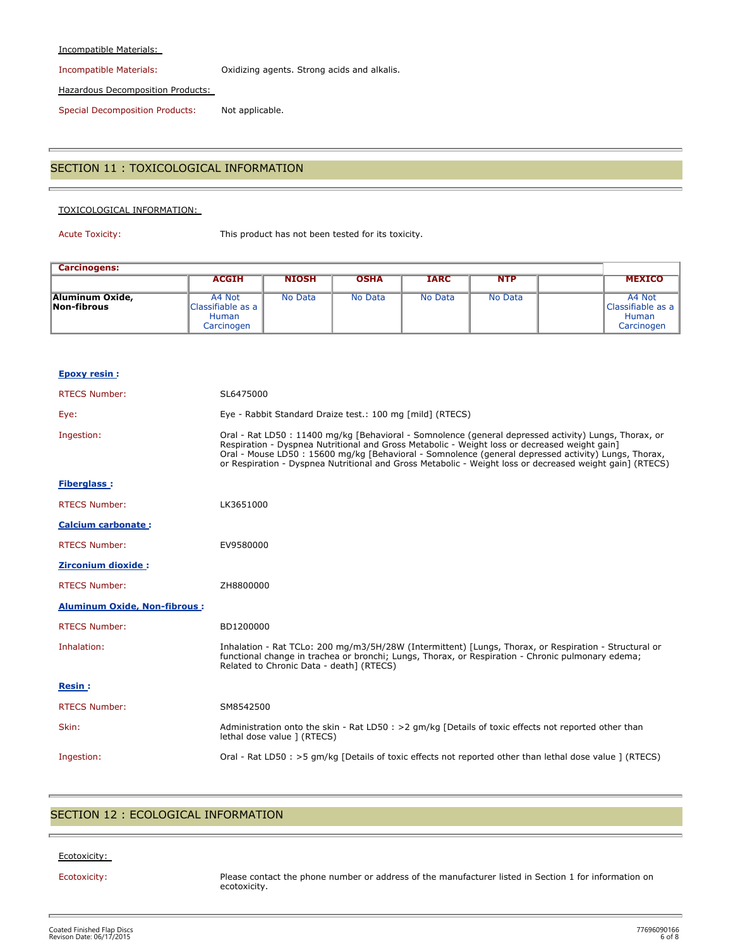#### Incompatible Materials:

Incompatible Materials: Oxidizing agents. Strong acids and alkalis.

Hazardous Decomposition Products:

Special Decomposition Products: Not applicable.

#### SECTION 11 : TOXICOLOGICAL INFORMATION

#### TOXICOLOGICAL INFORMATION:

Acute Toxicity: This product has not been tested for its toxicity.

| <b>Carcinogens:</b>            |                                                             |              |             |             |            |  |                                                           |
|--------------------------------|-------------------------------------------------------------|--------------|-------------|-------------|------------|--|-----------------------------------------------------------|
|                                | <b>ACGIH</b>                                                | <b>NIOSH</b> | <b>OSHA</b> | <b>IARC</b> | <b>NTP</b> |  | <b>MEXICO</b>                                             |
| Aluminum Oxide,<br>Non-fibrous | A4 Not<br>Classifiable as a l<br><b>Human</b><br>Carcinogen | No Data      | No Data     | No Data     | No Data    |  | A4 Not<br>Classifiable as a<br><b>Human</b><br>Carcinogen |

#### **Epoxy resin :**

| <b>RTECS Number:</b>                | SL6475000                                                                                                                                                                                                                                                                                                                                                                                                                  |
|-------------------------------------|----------------------------------------------------------------------------------------------------------------------------------------------------------------------------------------------------------------------------------------------------------------------------------------------------------------------------------------------------------------------------------------------------------------------------|
| Eye:                                | Eye - Rabbit Standard Draize test.: 100 mg [mild] (RTECS)                                                                                                                                                                                                                                                                                                                                                                  |
| Ingestion:                          | Oral - Rat LD50 : 11400 mg/kg [Behavioral - Somnolence (general depressed activity) Lungs, Thorax, or<br>Respiration - Dyspnea Nutritional and Gross Metabolic - Weight loss or decreased weight gain]<br>Oral - Mouse LD50 : 15600 mg/kg [Behavioral - Somnolence (general depressed activity) Lungs, Thorax,<br>or Respiration - Dyspnea Nutritional and Gross Metabolic - Weight loss or decreased weight gain] (RTECS) |
| <b>Fiberglass:</b>                  |                                                                                                                                                                                                                                                                                                                                                                                                                            |
| <b>RTECS Number:</b>                | LK3651000                                                                                                                                                                                                                                                                                                                                                                                                                  |
| <b>Calcium carbonate:</b>           |                                                                                                                                                                                                                                                                                                                                                                                                                            |
| <b>RTECS Number:</b>                | EV9580000                                                                                                                                                                                                                                                                                                                                                                                                                  |
| <b>Zirconium dioxide:</b>           |                                                                                                                                                                                                                                                                                                                                                                                                                            |
| <b>RTECS Number:</b>                | ZH8800000                                                                                                                                                                                                                                                                                                                                                                                                                  |
| <b>Aluminum Oxide, Non-fibrous:</b> |                                                                                                                                                                                                                                                                                                                                                                                                                            |
| <b>RTECS Number:</b>                | BD1200000                                                                                                                                                                                                                                                                                                                                                                                                                  |
| Inhalation:                         | Inhalation - Rat TCLo: 200 mg/m3/5H/28W (Intermittent) [Lungs, Thorax, or Respiration - Structural or<br>functional change in trachea or bronchi; Lungs, Thorax, or Respiration - Chronic pulmonary edema;<br>Related to Chronic Data - death] (RTECS)                                                                                                                                                                     |
| <b>Resin:</b>                       |                                                                                                                                                                                                                                                                                                                                                                                                                            |
| <b>RTECS Number:</b>                | SM8542500                                                                                                                                                                                                                                                                                                                                                                                                                  |
| Skin:                               | Administration onto the skin - Rat LD50 : >2 qm/kg [Details of toxic effects not reported other than<br>lethal dose value 1 (RTECS)                                                                                                                                                                                                                                                                                        |
| Ingestion:                          | Oral - Rat LD50 : >5 qm/kg [Details of toxic effects not reported other than lethal dose value ] (RTECS)                                                                                                                                                                                                                                                                                                                   |

### SECTION 12 : ECOLOGICAL INFORMATION

#### Ecotoxicity:

Ecotoxicity: Please contact the phone number or address of the manufacturer listed in Section 1 for information on ecotoxicity.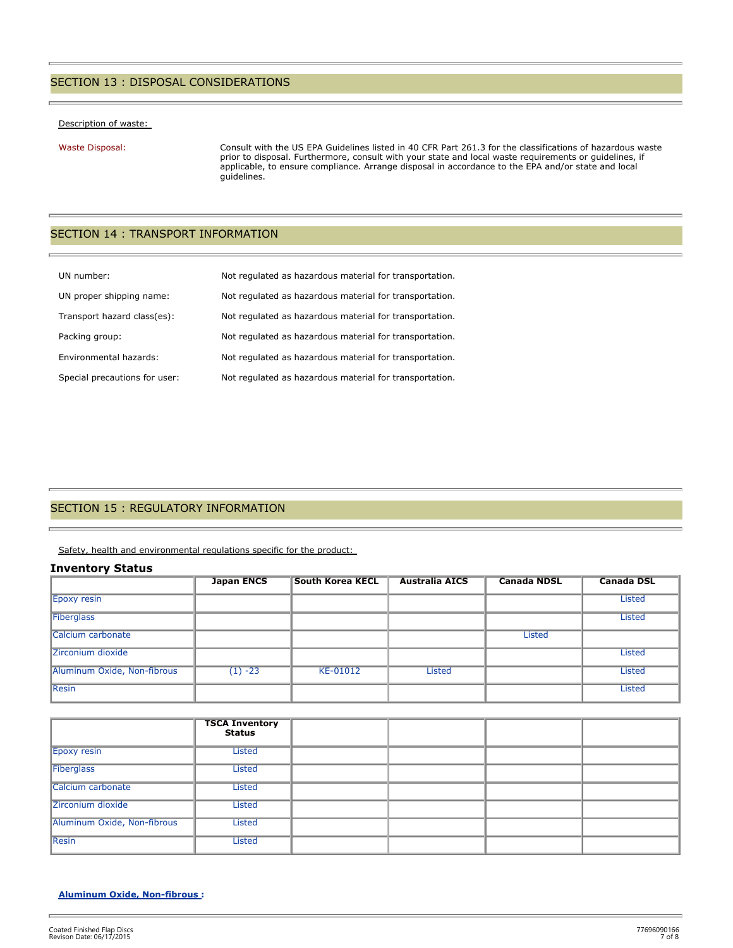## SECTION 13 : DISPOSAL CONSIDERATIONS

#### Description of waste:

Waste Disposal: Consult with the US EPA Guidelines listed in 40 CFR Part 261.3 for the classifications of hazardous waste prior to disposal. Furthermore, consult with your state and local waste requirements or guidelines, if applicable, to ensure compliance. Arrange disposal in accordance to the EPA and/or state and local guidelines.

#### SECTION 14 : TRANSPORT INFORMATION

| UN number:                    | Not regulated as hazardous material for transportation. |
|-------------------------------|---------------------------------------------------------|
| UN proper shipping name:      | Not regulated as hazardous material for transportation. |
| Transport hazard class(es):   | Not regulated as hazardous material for transportation. |
| Packing group:                | Not regulated as hazardous material for transportation. |
| Environmental hazards:        | Not regulated as hazardous material for transportation. |
| Special precautions for user: | Not regulated as hazardous material for transportation. |

### SECTION 15 : REGULATORY INFORMATION

Safety, health and environmental regulations specific for the product:

#### **Inventory Status**

|                             | <b>Japan ENCS</b> | <b>South Korea KECL</b> | <b>Australia AICS</b> | <b>Canada NDSL</b> | <b>Canada DSL</b> |
|-----------------------------|-------------------|-------------------------|-----------------------|--------------------|-------------------|
| Epoxy resin                 |                   |                         |                       |                    | <b>Listed</b>     |
| Fiberglass                  |                   |                         |                       |                    | <b>Listed</b>     |
| Calcium carbonate           |                   |                         |                       | <b>Listed</b>      |                   |
| Zirconium dioxide           |                   |                         |                       |                    | <b>Listed</b>     |
| Aluminum Oxide, Non-fibrous | $(1) -23$         | KE-01012                | <b>Listed</b>         |                    | <b>Listed</b>     |
| <b>Resin</b>                |                   |                         |                       |                    | <b>Listed</b>     |

|                             | <b>TSCA Inventory</b><br><b>Status</b> |  |  |
|-----------------------------|----------------------------------------|--|--|
| Epoxy resin                 | <b>Listed</b>                          |  |  |
| Fiberglass                  | Listed                                 |  |  |
| Calcium carbonate           | <b>Listed</b>                          |  |  |
| Zirconium dioxide           | Listed                                 |  |  |
| Aluminum Oxide, Non-fibrous | <b>Listed</b>                          |  |  |
| <b>Resin</b>                | <b>Listed</b>                          |  |  |

#### **Aluminum Oxide, Non-fibrous :**